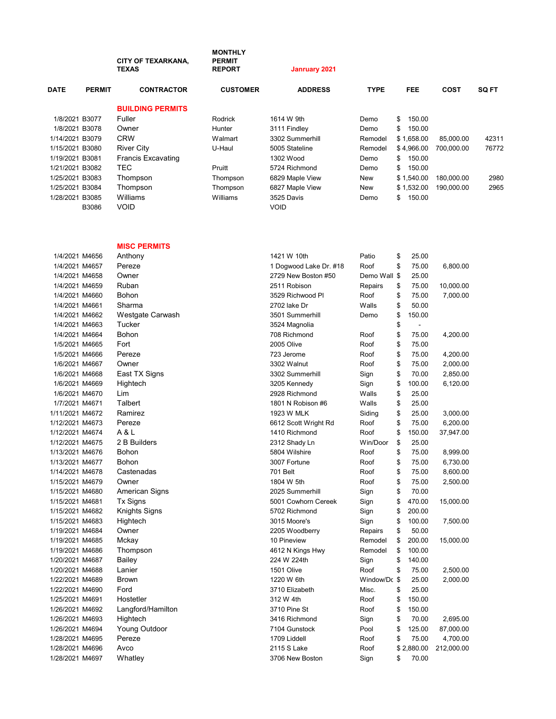|                 |               | <b>CITY OF TEXARKANA,</b><br><b>TEXAS</b> | <b>MONTHLY</b><br><b>PERMIT</b><br><b>REPORT</b> | <b>Janruary 2021</b> |             |              |             |              |
|-----------------|---------------|-------------------------------------------|--------------------------------------------------|----------------------|-------------|--------------|-------------|--------------|
| <b>DATE</b>     | <b>PERMIT</b> | <b>CONTRACTOR</b>                         | <b>CUSTOMER</b>                                  | <b>ADDRESS</b>       | <b>TYPE</b> | <b>FEE</b>   | <b>COST</b> | <b>SQ FT</b> |
|                 |               | <b>BUILDING PERMITS</b>                   |                                                  |                      |             |              |             |              |
| 1/8/2021 B3077  |               | Fuller                                    | <b>Rodrick</b>                                   | 1614 W 9th           | Demo        | \$<br>150.00 |             |              |
| 1/8/2021 B3078  |               | Owner                                     | Hunter                                           | 3111 Findley         | Demo        | \$<br>150.00 |             |              |
| 1/14/2021 B3079 |               | <b>CRW</b>                                | Walmart                                          | 3302 Summerhill      | Remodel     | \$1,658.00   | 85,000.00   | 42311        |
| 1/15/2021 B3080 |               | <b>River City</b>                         | U-Haul                                           | 5005 Stateline       | Remodel     | \$4.966.00   | 700.000.00  | 76772        |
| 1/19/2021 B3081 |               | <b>Francis Excavating</b>                 |                                                  | 1302 Wood            | Demo        | \$<br>150.00 |             |              |
| 1/21/2021 B3082 |               | TEC                                       | Pruitt                                           | 5724 Richmond        | Demo        | \$<br>150.00 |             |              |
| 1/25/2021 B3083 |               | Thompson                                  | Thompson                                         | 6829 Maple View      | New         | \$1.540.00   | 180,000.00  | 2980         |
| 1/25/2021 B3084 |               | Thompson                                  | Thompson                                         | 6827 Maple View      | New         | \$1.532.00   | 190.000.00  | 2965         |
| 1/28/2021 B3085 |               | Williams                                  | Williams                                         | 3525 Davis           | Demo        | \$<br>150.00 |             |              |
|                 | B3086         | <b>VOID</b>                               |                                                  | <b>VOID</b>          |             |              |             |              |

MISC PERMITS

| 1/4/2021 M4656  | Anthony              | 1421 W 10th            | Patio        | \$<br>25.00  |            |
|-----------------|----------------------|------------------------|--------------|--------------|------------|
| 1/4/2021 M4657  | Pereze               | 1 Dogwood Lake Dr. #18 | Roof         | \$<br>75.00  | 6,800.00   |
| 1/4/2021 M4658  | Owner                | 2729 New Boston #50    | Demo Wall \$ | 25.00        |            |
| 1/4/2021 M4659  | Ruban                | 2511 Robison           | Repairs      | \$<br>75.00  | 10,000.00  |
| 1/4/2021 M4660  | Bohon                | 3529 Richwood Pl       | Roof         | \$<br>75.00  | 7,000.00   |
| 1/4/2021 M4661  | Sharma               | 2702 lake Dr           | Walls        | \$<br>50.00  |            |
| 1/4/2021 M4662  | Westgate Carwash     | 3501 Summerhill        | Demo         | \$<br>150.00 |            |
| 1/4/2021 M4663  | Tucker               | 3524 Magnolia          |              | \$           |            |
| 1/4/2021 M4664  | Bohon                | 708 Richmond           | Roof         | \$<br>75.00  | 4,200.00   |
| 1/5/2021 M4665  | Fort                 | 2005 Olive             | Roof         | \$<br>75.00  |            |
| 1/5/2021 M4666  | Pereze               | 723 Jerome             | Roof         | \$<br>75.00  | 4,200.00   |
| 1/6/2021 M4667  | Owner                | 3302 Walnut            | Roof         | \$<br>75.00  | 2,000.00   |
| 1/6/2021 M4668  | East TX Signs        | 3302 Summerhill        | Sign         | \$<br>70.00  | 2,850.00   |
| 1/6/2021 M4669  | Hightech             | 3205 Kennedy           | Sign         | \$<br>100.00 | 6,120.00   |
| 1/6/2021 M4670  | Lim                  | 2928 Richmond          | Walls        | \$<br>25.00  |            |
| 1/7/2021 M4671  | Talbert              | 1801 N Robison #6      | Walls        | \$<br>25.00  |            |
| 1/11/2021 M4672 | Ramirez              | 1923 W MLK             | Siding       | \$<br>25.00  | 3,000.00   |
| 1/12/2021 M4673 | Pereze               | 6612 Scott Wright Rd   | Roof         | \$<br>75.00  | 6,200.00   |
| 1/12/2021 M4674 | A & L                | 1410 Richmond          | Roof         | \$<br>150.00 | 37,947.00  |
| 1/12/2021 M4675 | 2 B Builders         | 2312 Shady Ln          | Win/Door     | \$<br>25.00  |            |
| 1/13/2021 M4676 | Bohon                | 5804 Wilshire          | Roof         | \$<br>75.00  | 8,999.00   |
| 1/13/2021 M4677 | Bohon                | 3007 Fortune           | Roof         | \$<br>75.00  | 6,730.00   |
| 1/14/2021 M4678 | Castenadas           | 701 Belt               | Roof         | \$<br>75.00  | 8,600.00   |
| 1/15/2021 M4679 | Owner                | 1804 W 5th             | Roof         | \$<br>75.00  | 2,500.00   |
| 1/15/2021 M4680 | American Signs       | 2025 Summerhill        | Sign         | \$<br>70.00  |            |
| 1/15/2021 M4681 | <b>Tx Signs</b>      | 5001 Cowhorn Cereek    | Sign         | \$<br>470.00 | 15,000.00  |
| 1/15/2021 M4682 | <b>Knights Signs</b> | 5702 Richmond          | Sign         | \$<br>200.00 |            |
| 1/15/2021 M4683 | Hightech             | 3015 Moore's           | Sign         | \$<br>100.00 | 7,500.00   |
| 1/19/2021 M4684 | Owner                | 2205 Woodberry         | Repairs      | \$<br>50.00  |            |
| 1/19/2021 M4685 | Mckay                | 10 Pineview            | Remodel      | \$<br>200.00 | 15,000.00  |
| 1/19/2021 M4686 | Thompson             | 4612 N Kings Hwy       | Remodel      | \$<br>100.00 |            |
| 1/20/2021 M4687 | Bailey               | 224 W 224th            | Sign         | \$<br>140.00 |            |
| 1/20/2021 M4688 | Lanier               | 1501 Olive             | Roof         | \$<br>75.00  | 2,500.00   |
| 1/22/2021 M4689 | <b>Brown</b>         | 1220 W 6th             | Window/Dc \$ | 25.00        | 2,000.00   |
| 1/22/2021 M4690 | Ford                 | 3710 Elizabeth         | Misc.        | \$<br>25.00  |            |
| 1/25/2021 M4691 | Hostetler            | 312 W 4th              | Roof         | \$<br>150.00 |            |
| 1/26/2021 M4692 | Langford/Hamilton    | 3710 Pine St           | Roof         | \$<br>150.00 |            |
| 1/26/2021 M4693 | Hightech             | 3416 Richmond          | Sign         | \$<br>70.00  | 2,695.00   |
| 1/26/2021 M4694 | <b>Young Outdoor</b> | 7104 Gunstock          | Pool         | \$<br>125.00 | 87,000.00  |
| 1/28/2021 M4695 | Pereze               | 1709 Liddell           | Roof         | \$<br>75.00  | 4,700.00   |
| 1/28/2021 M4696 | Avco                 | 2115 S Lake            | Roof         | \$2,880.00   | 212,000.00 |
| 1/28/2021 M4697 | Whatley              | 3706 New Boston        | Sign         | \$<br>70.00  |            |
|                 |                      |                        |              |              |            |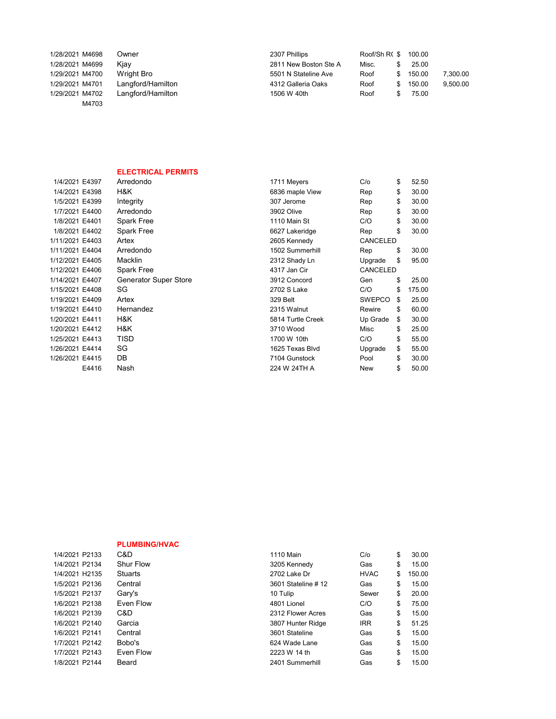| 1/28/2021 M4698          | Owner             | 2307 Phillips         | Roof/Sh R(\$ 100.00 |    |        |          |
|--------------------------|-------------------|-----------------------|---------------------|----|--------|----------|
| 1/28/2021 M4699          | Kiav              | 2811 New Boston Ste A | Misc.               |    | 25.00  |          |
| 1/29/2021 M4700          | Wright Bro        | 5501 N Stateline Ave  | Roof                | S. | 150.00 | 7,300.00 |
| 1/29/2021 M4701          | Langford/Hamilton | 4312 Galleria Oaks    | Roof                | \$ | 150.00 | 9.500.00 |
| 1/29/2021 M4702<br>M4703 | Langford/Hamilton | 1506 W 40th           | Roof                |    | 75.00  |          |
|                          |                   |                       |                     |    |        |          |

## ELECTRICAL PERMITS

| 1/4/2021 E4397  |       | Arredondo             | 1711 Meyers       | C/O           | \$<br>52.50  |
|-----------------|-------|-----------------------|-------------------|---------------|--------------|
| 1/4/2021 E4398  |       | H&K                   | 6836 maple View   | Rep           | \$<br>30.00  |
| 1/5/2021 E4399  |       | Integrity             | 307 Jerome        | Rep           | \$<br>30.00  |
| 1/7/2021 E4400  |       | Arredondo             | 3902 Olive        | Rep           | \$<br>30.00  |
| 1/8/2021 E4401  |       | <b>Spark Free</b>     | 1110 Main St      | C/O           | \$<br>30.00  |
| 1/8/2021 E4402  |       | <b>Spark Free</b>     | 6627 Lakeridge    | Rep           | \$<br>30.00  |
| 1/11/2021 E4403 |       | Artex                 | 2605 Kennedy      | CANCELED      |              |
| 1/11/2021 E4404 |       | Arredondo             | 1502 Summerhill   | Rep           | \$<br>30.00  |
| 1/12/2021 E4405 |       | <b>Macklin</b>        | 2312 Shady Ln     | Upgrade       | \$<br>95.00  |
| 1/12/2021 E4406 |       | Spark Free            | 4317 Jan Cir      | CANCELED      |              |
| 1/14/2021 E4407 |       | Generator Super Store | 3912 Concord      | Gen           | \$<br>25.00  |
| 1/15/2021 E4408 |       | SG                    | 2702 S Lake       | C/O           | \$<br>175.00 |
| 1/19/2021 E4409 |       | Artex                 | 329 Belt          | <b>SWEPCO</b> | \$<br>25.00  |
| 1/19/2021 E4410 |       | Hernandez             | 2315 Walnut       | Rewire        | \$<br>60.00  |
| 1/20/2021 E4411 |       | H&K                   | 5814 Turtle Creek | Up Grade      | \$<br>30.00  |
| 1/20/2021 E4412 |       | H&K                   | 3710 Wood         | Misc          | \$<br>25.00  |
| 1/25/2021 E4413 |       | <b>TISD</b>           | 1700 W 10th       | C/O           | \$<br>55.00  |
| 1/26/2021 E4414 |       | SG                    | 1625 Texas Blvd   | Upgrade       | \$<br>55.00  |
| 1/26/2021 E4415 |       | DB                    | 7104 Gunstock     | Pool          | \$<br>30.00  |
|                 | E4416 | Nash                  | 224 W 24TH A      | <b>New</b>    | \$<br>50.00  |
|                 |       |                       |                   |               |              |

|                | <b>PLUMBING/HVAC</b> |                    |             |              |
|----------------|----------------------|--------------------|-------------|--------------|
|                |                      |                    |             |              |
| 1/4/2021 P2133 | C&D                  | 1110 Main          | C/O         | \$<br>30.00  |
| 1/4/2021 P2134 | Shur Flow            | 3205 Kennedy       | Gas         | \$<br>15.00  |
| 1/4/2021 H2135 | <b>Stuarts</b>       | 2702 Lake Dr       | <b>HVAC</b> | \$<br>150.00 |
| 1/5/2021 P2136 | Central              | 3601 Stateline #12 | Gas         | \$<br>15.00  |
| 1/5/2021 P2137 | Gary's               | 10 Tulip           | Sewer       | \$<br>20.00  |
| 1/6/2021 P2138 | Even Flow            | 4801 Lionel        | C/O         | \$<br>75.00  |
| 1/6/2021 P2139 | C&D                  | 2312 Flower Acres  | Gas         | \$<br>15.00  |
| 1/6/2021 P2140 | Garcia               | 3807 Hunter Ridge  | <b>IRR</b>  | \$<br>51.25  |
| 1/6/2021 P2141 | Central              | 3601 Stateline     | Gas         | \$<br>15.00  |
| 1/7/2021 P2142 | Bobo's               | 624 Wade Lane      | Gas         | \$<br>15.00  |
| 1/7/2021 P2143 | Even Flow            | 2223 W 14 th       | Gas         | \$<br>15.00  |
| 1/8/2021 P2144 | Beard                | 2401 Summerhill    | Gas         | \$<br>15.00  |